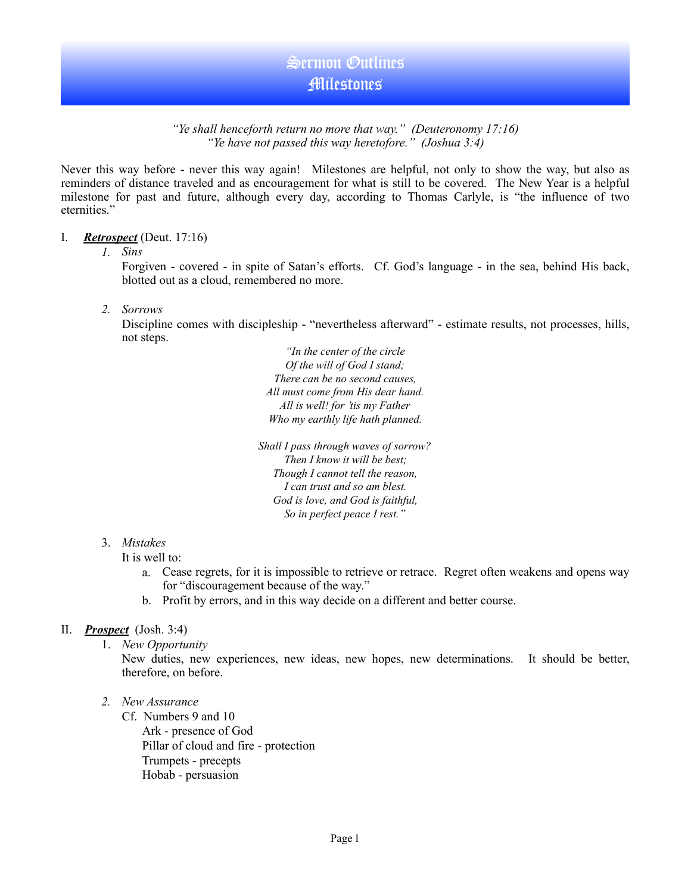#### *"Ye shall henceforth return no more that way." (Deuteronomy 17:16) "Ye have not passed this way heretofore." (Joshua 3:4)*

Never this way before - never this way again! Milestones are helpful, not only to show the way, but also as reminders of distance traveled and as encouragement for what is still to be covered. The New Year is a helpful milestone for past and future, although every day, according to Thomas Carlyle, is "the influence of two eternities."

#### I. *Retrospect* (Deut. 17:16)

#### *1. Sins*

Forgiven - covered - in spite of Satan's efforts. Cf. God's language - in the sea, behind His back, blotted out as a cloud, remembered no more.

*2. Sorrows* 

Discipline comes with discipleship - "nevertheless afterward" - estimate results, not processes, hills, not steps.

> *"In the center of the circle Of the will of God I stand; There can be no second causes, All must come from His dear hand. All is well! for 'tis my Father Who my earthly life hath planned.*

*Shall I pass through waves of sorrow? Then I know it will be best; Though I cannot tell the reason, I can trust and so am blest. God is love, and God is faithful, So in perfect peace I rest."* 

## 3. *Mistakes*

It is well to:

- a. Cease regrets, for it is impossible to retrieve or retrace. Regret often weakens and opens way for "discouragement because of the way."
- b. Profit by errors, and in this way decide on a different and better course.

## II. *Prospect* (Josh. 3:4)

1. *New Opportunity* 

New duties, new experiences, new ideas, new hopes, new determinations. It should be better, therefore, on before.

*2. New Assurance*

Cf. Numbers 9 and 10 Ark - presence of God Pillar of cloud and fire - protection Trumpets - precepts Hobab - persuasion